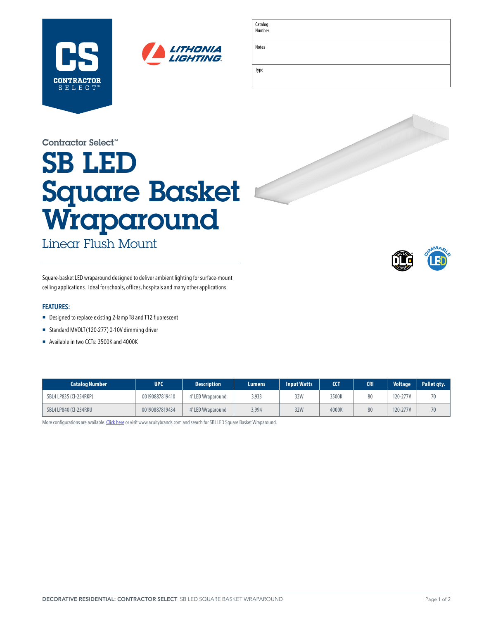



Catalog Number

Notes

Type

| the contract of the contract of the contract of the contract of the contract of the contract of the contract of |  |  |
|-----------------------------------------------------------------------------------------------------------------|--|--|
|                                                                                                                 |  |  |
|                                                                                                                 |  |  |
|                                                                                                                 |  |  |
|                                                                                                                 |  |  |

Contractor Select™

# SB LED Square Basket Wraparound

Linear Flush Mount



Square-basket LED wraparound designed to deliver ambient lighting for surface-mount ceiling applications. Ideal for schools, offices, hospitals and many other applications.

### **FEATURES:**

- Designed to replace existing 2-lamp T8 and T12 fluorescent
- ¡ Standard MVOLT (120-277) 0-10V dimming driver
- Available in two CCTs: 3500K and 4000K

| <b>Catalog Number</b>  | UPC            | <b>Description</b> | Lumens | <b>Input Watts</b> | <b>CCT</b> | <b>CRI</b> | <b>Voltage</b> | Pallet qty. |
|------------------------|----------------|--------------------|--------|--------------------|------------|------------|----------------|-------------|
| SBL4 LP835 (CI-254RKP) | 00190887819410 | 4' LED Wraparound  | 3,933  | 32W                | 3500K      | 80         | 120-277V       | 70          |
| SBL4 LP840 (CI-254RKU  | 00190887819434 | 4' LED Wraparound  | 3,994  | 32W                | 4000K      | 80         | 120-277V       | 70          |

More configurations are available. [Click here](https://www.acuitybrands.com/products/detail/347675/Lithonia-Lighting/SBL-LED/SB-Series-Configurable-LED-Wraparound) or visit [www.acuitybrands.com](http://www.acuitybrands.com) and search for SBL LED Square Basket Wraparound.